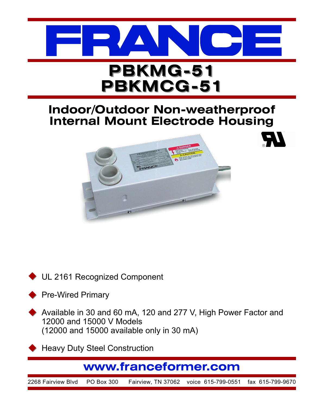

## **Indoor/Outdoor Non-weatherproof Internal Mount Electrode Housing**



UL 2161 Recognized Component  $\blacklozenge$ 

Pre-Wired Primary  $\blacklozenge$ 

Available in 30 and 60 mA, 120 and 277 V, High Power Factor and 12000 and 15000 V Models (12000 and 15000 available only in 30 mA)  $\blacklozenge$ 

Heavy Duty Steel Construction  $\blacklozenge$ 

## **www.franceformer.com**

2268 Fairview Blvd PO Box 300 Fairview, TN 37062 voice 615-799-0551 fax 615-799-9670